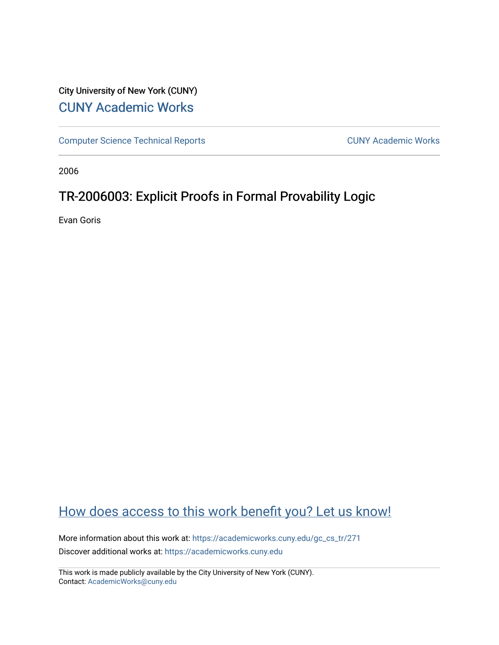# City University of New York (CUNY) [CUNY Academic Works](https://academicworks.cuny.edu/)

[Computer Science Technical Reports](https://academicworks.cuny.edu/gc_cs_tr) **CUNY Academic Works** CUNY Academic Works

2006

# TR-2006003: Explicit Proofs in Formal Provability Logic

Evan Goris

# [How does access to this work benefit you? Let us know!](http://ols.cuny.edu/academicworks/?ref=https://academicworks.cuny.edu/gc_cs_tr/271)

More information about this work at: [https://academicworks.cuny.edu/gc\\_cs\\_tr/271](https://academicworks.cuny.edu/gc_cs_tr/271)  Discover additional works at: [https://academicworks.cuny.edu](https://academicworks.cuny.edu/?)

This work is made publicly available by the City University of New York (CUNY). Contact: [AcademicWorks@cuny.edu](mailto:AcademicWorks@cuny.edu)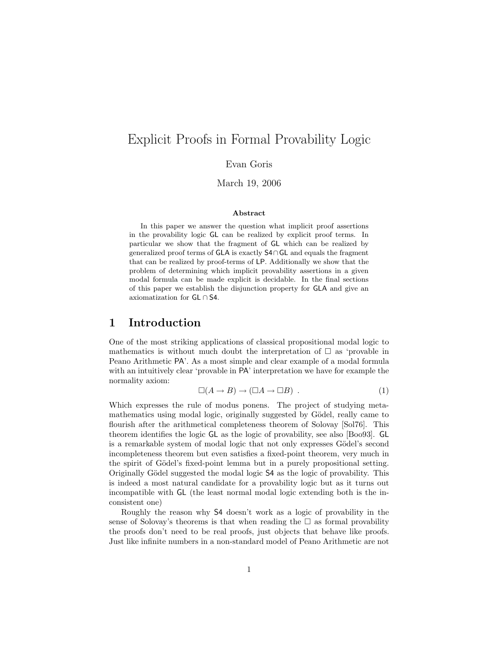# Explicit Proofs in Formal Provability Logic

Evan Goris

March 19, 2006

#### **Abstract**

In this paper we answer the question what implicit proof assertions in the provability logic GL can be realized by explicit proof terms. In particular we show that the fragment of GL which can be realized by generalized proof terms of GLA is exactly S4∩GL and equals the fragment that can be realized by proof-terms of LP. Additionally we show that the problem of determining which implicit provability assertions in a given modal formula can be made explicit is decidable. In the final sections of this paper we establish the disjunction property for GLA and give an axiomatization for GL ∩ S4.

## **1 Introduction**

One of the most striking applications of classical propositional modal logic to mathematics is without much doubt the interpretation of  $\square$  as 'provable in Peano Arithmetic PA'. As a most simple and clear example of a modal formula with an intuitively clear 'provable in PA' interpretation we have for example the normality axiom:

$$
\Box(A \to B) \to (\Box A \to \Box B) . \tag{1}
$$

Which expresses the rule of modus ponens. The project of studying metamathematics using modal logic, originally suggested by Gödel, really came to flourish after the arithmetical completeness theorem of Solovay [Sol76]. This theorem identifies the logic GL as the logic of provability, see also [Boo93]. GL is a remarkable system of modal logic that not only expresses Gödel's second incompleteness theorem but even satisfies a fixed-point theorem, very much in the spirit of Gödel's fixed-point lemma but in a purely propositional setting. Originally Gödel suggested the modal logic  $S4$  as the logic of provability. This is indeed a most natural candidate for a provability logic but as it turns out incompatible with GL (the least normal modal logic extending both is the inconsistent one)

Roughly the reason why S4 doesn't work as a logic of provability in the sense of Solovay's theorems is that when reading the  $\Box$  as formal provability the proofs don't need to be real proofs, just objects that behave like proofs. Just like infinite numbers in a non-standard model of Peano Arithmetic are not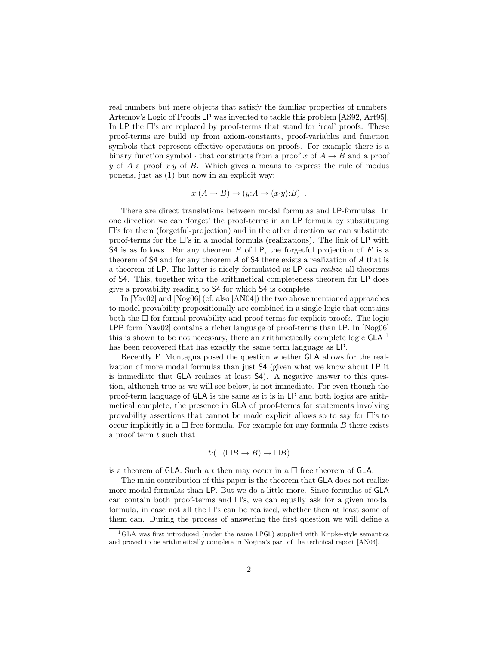real numbers but mere objects that satisfy the familiar properties of numbers. Artemov's Logic of Proofs LP was invented to tackle this problem [AS92, Art95]. In  $LP$  the  $\square$ 's are replaced by proof-terms that stand for 'real' proofs. These proof-terms are build up from axiom-constants, proof-variables and function symbols that represent effective operations on proofs. For example there is a binary function symbol  $\cdot$  that constructs from a proof x of  $A \rightarrow B$  and a proof y of A a proof  $x \cdot y$  of B. Which gives a means to express the rule of modus ponens, just as (1) but now in an explicit way:

$$
x:(A \to B) \to (y:A \to (x \cdot y):B) .
$$

There are direct translations between modal formulas and LP-formulas. In one direction we can 'forget' the proof-terms in an LP formula by substituting  $\Box$ 's for them (forgetful-projection) and in the other direction we can substitute proof-terms for the  $\Box$ 's in a modal formula (realizations). The link of LP with S4 is as follows. For any theorem  $F$  of LP, the forgetful projection of  $F$  is a theorem of S4 and for any theorem A of S4 there exists a realization of A that is a theorem of LP. The latter is nicely formulated as LP can *realize* all theorems of S4. This, together with the arithmetical completeness theorem for LP does give a provability reading to S4 for which S4 is complete.

In [Yav02] and [Nog06] (cf. also [AN04]) the two above mentioned approaches to model provability propositionally are combined in a single logic that contains both the  $\Box$  for formal provability and proof-terms for explicit proofs. The logic LPP form [Yav02] contains a richer language of proof-terms than LP. In [Nog06] this is shown to be not necessary, there an arithmetically complete logic  $GLA<sup>1</sup>$ has been recovered that has exactly the same term language as LP.

Recently F. Montagna posed the question whether GLA allows for the realization of more modal formulas than just S4 (given what we know about LP it is immediate that GLA realizes at least S4). A negative answer to this question, although true as we will see below, is not immediate. For even though the proof-term language of GLA is the same as it is in LP and both logics are arithmetical complete, the presence in GLA of proof-terms for statements involving provability assertions that cannot be made explicit allows so to say for  $\Box$ 's to occur implicitly in a  $\Box$  free formula. For example for any formula B there exists a proof term  $t$  such that

$$
t: (\square(\square B \to B) \to \square B)
$$

is a theorem of GLA. Such a t then may occur in a  $\Box$  free theorem of GLA.

The main contribution of this paper is the theorem that GLA does not realize more modal formulas than LP. But we do a little more. Since formulas of GLA can contain both proof-terms and  $\Box$ 's, we can equally ask for a given modal formula, in case not all the  $\Box$ 's can be realized, whether then at least some of them can. During the process of answering the first question we will define a

<sup>&</sup>lt;sup>1</sup>GLA was first introduced (under the name LPGL) supplied with Kripke-style semantics and proved to be arithmetically complete in Nogina's part of the technical report [AN04].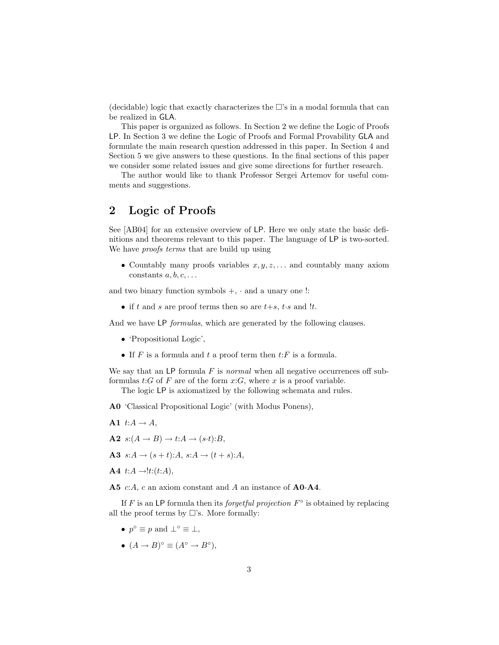(decidable) logic that exactly characterizes the  $\Box$ 's in a modal formula that can be realized in GLA.

This paper is organized as follows. In Section 2 we define the Logic of Proofs LP. In Section 3 we define the Logic of Proofs and Formal Provability GLA and formulate the main research question addressed in this paper. In Section 4 and Section 5 we give answers to these questions. In the final sections of this paper we consider some related issues and give some directions for further research.

The author would like to thank Professor Sergei Artemov for useful comments and suggestions.

# **2 Logic of Proofs**

See [AB04] for an extensive overview of LP. Here we only state the basic definitions and theorems relevant to this paper. The language of LP is two-sorted. We have *proofs terms* that are build up using

• Countably many proofs variables  $x, y, z, \ldots$  and countably many axiom constants  $a, b, c, \ldots$ 

and two binary function symbols  $+$ ,  $\cdot$  and a unary one !:

• if t and s are proof terms then so are  $t+s$ ,  $t \cdot s$  and  $!t$ .

And we have LP *formulas*, which are generated by the following clauses.

- 'Propositional Logic',
- If F is a formula and t a proof term then  $t$ : F is a formula.

We say that an LP formula F is *normal* when all negative occurrences off subformulas  $t:G$  of F are of the form  $x:G$ , where x is a proof variable.

The logic LP is axiomatized by the following schemata and rules.

- **A0** 'Classical Propositional Logic' (with Modus Ponens),
- A1  $t:A \rightarrow A$ ,
- $A2 \ s:(A \rightarrow B) \rightarrow t:A \rightarrow (s \cdot t):B,$
- **A3**  $s:A \to (s+t):A, s:A \to (t+s):A,$
- $A4$  t: $A \rightarrow$ !t:(t:A),

**A5** c:A, c an axiom constant and A an instance of **A0**-**A4**.

If F is an LP formula then its *forgetful projection* F◦ is obtained by replacing all the proof terms by  $\Box$ 's. More formally:

- $p^{\circ} \equiv p$  and  $\perp^{\circ} \equiv \perp$ ,
- $(A \rightarrow B)^\circ \equiv (A^\circ \rightarrow B^\circ),$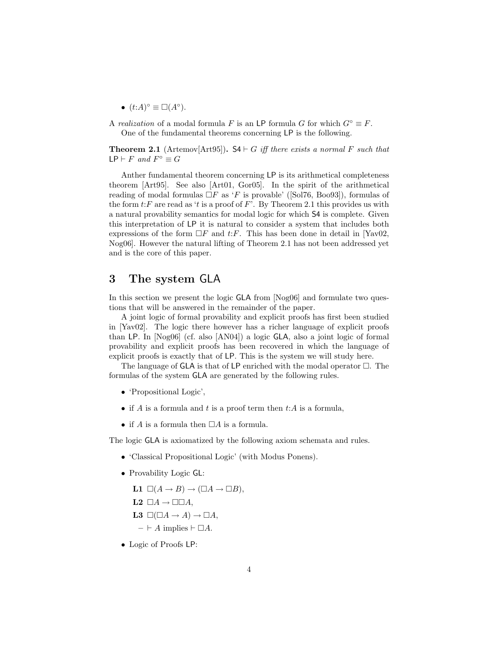•  $(t:A)^{\circ} \equiv \Box(A^{\circ}).$ 

A *realization* of a modal formula F is an LP formula G for which  $G^{\circ} \equiv F$ . One of the fundamental theorems concerning LP is the following.

**Theorem 2.1** (Artemov[Art95]).  $S4 \vdash G$  *iff there exists a normal* F *such that*  $LP \vdash F$  *and*  $F^\circ \equiv G$ 

Anther fundamental theorem concerning LP is its arithmetical completeness theorem [Art95]. See also [Art01, Gor05]. In the spirit of the arithmetical reading of modal formulas  $\Box F$  as 'F is provable' ([Sol76, Boo93]), formulas of the form  $t$ : F are read as 't is a proof of F'. By Theorem 2.1 this provides us with a natural provability semantics for modal logic for which S4 is complete. Given this interpretation of LP it is natural to consider a system that includes both expressions of the form  $\Box F$  and t: F. This has been done in detail in [Yav02, Nog06]. However the natural lifting of Theorem 2.1 has not been addressed yet and is the core of this paper.

# **3 The system** GLA

In this section we present the logic GLA from [Nog06] and formulate two questions that will be answered in the remainder of the paper.

A joint logic of formal provability and explicit proofs has first been studied in [Yav02]. The logic there however has a richer language of explicit proofs than LP. In [Nog06] (cf. also [AN04]) a logic GLA, also a joint logic of formal provability and explicit proofs has been recovered in which the language of explicit proofs is exactly that of LP. This is the system we will study here.

The language of GLA is that of LP enriched with the modal operator  $\Box$ . The formulas of the system GLA are generated by the following rules.

- 'Propositional Logic',
- if A is a formula and t is a proof term then  $t:A$  is a formula,
- if A is a formula then  $\Box A$  is a formula.

The logic GLA is axiomatized by the following axiom schemata and rules.

- 'Classical Propositional Logic' (with Modus Ponens).
- Provability Logic GL:

**L1**  $\Box(A \rightarrow B) \rightarrow (\Box A \rightarrow \Box B),$ 

- **L2**  $\Box A \rightarrow \Box \Box A$ ,
- **L3**  $\square(\square A \rightarrow A) \rightarrow \square A,$
- $\vdash A$  implies  $\vdash \Box A$ .
- Logic of Proofs LP: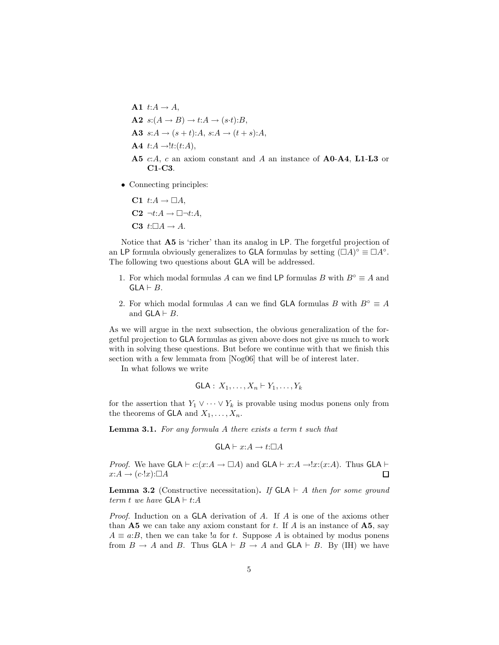- A1  $t:A \rightarrow A$ ,  $A2 \ s:(A \rightarrow B) \rightarrow t:A \rightarrow (s \cdot t):B,$ **A3**  $s:A \to (s+t):A, s:A \to (t+s):A,$  $\mathbf{A4}$  t: $A \rightarrow$ !t:(t:A), **A5** c:A, c an axiom constant and A an instance of **A0**-**A4**, **L1**-**L3** or **C1**-**C3**.
- Connecting principles:
	- **C1**  $t:A \to \Box A$ ,
	- $C2 \neg t:A \rightarrow \Box \neg t:A$ ,
	- **C3**  $t:\Box A \rightarrow A$ .

Notice that **A5** is 'richer' than its analog in LP. The forgetful projection of an LP formula obviously generalizes to GLA formulas by setting  $(\Box A)^\circ \equiv \Box A^\circ$ . The following two questions about GLA will be addressed.

- 1. For which modal formulas A can we find LP formulas B with  $B^\circ \equiv A$  and  $GLA \vdash B$ .
- 2. For which modal formulas A can we find GLA formulas B with  $B^\circ \equiv A$ and  $GLA \vdash B$ .

As we will argue in the next subsection, the obvious generalization of the forgetful projection to GLA formulas as given above does not give us much to work with in solving these questions. But before we continue with that we finish this section with a few lemmata from [Nog06] that will be of interest later.

In what follows we write

GLA: 
$$
X_1, \ldots, X_n \vdash Y_1, \ldots, Y_k
$$

for the assertion that  $Y_1 \vee \cdots \vee Y_k$  is provable using modus ponens only from the theorems of GLA and  $X_1, \ldots, X_n$ .

**Lemma 3.1.** *For any formula* A *there exists a term* t *such that*

$$
\mathsf{GLA} \vdash x{:}A \to t{:}\square A
$$

*Proof.* We have  $GLA \vdash c:(x:A \to \Box A)$  and  $GLA \vdash x:A \to !x:(x:A)$ . Thus  $GLA \vdash$  $x:A \to (c\cdot!x):\Box A$ П

**Lemma 3.2** (Constructive necessitation). If  $GLA \vdash A$  then for some ground *term t we have*  $GLA \vdash t:A$ 

*Proof.* Induction on a GLA derivation of A. If A is one of the axioms other than  $\bf{A5}$  we can take any axiom constant for t. If A is an instance of  $\bf{A5}$ , say  $A \equiv a:B$ , then we can take !a for t. Suppose A is obtained by modus ponens from  $B \to A$  and B. Thus  $GLA \vdash B \to A$  and  $GLA \vdash B$ . By (IH) we have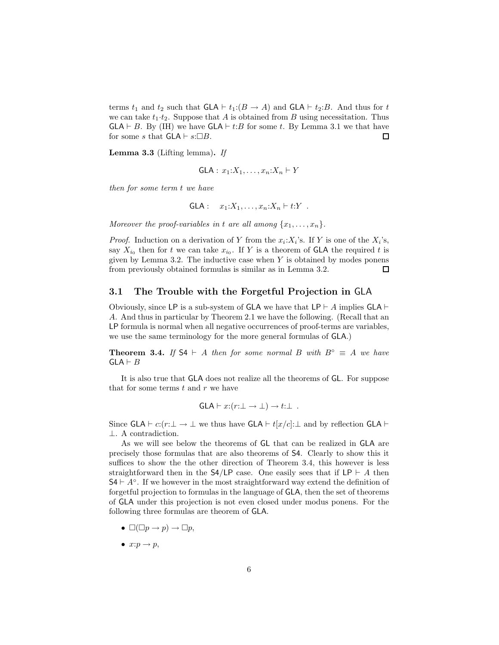terms  $t_1$  and  $t_2$  such that  $GLA \vdash t_1:(B \to A)$  and  $GLA \vdash t_2:B$ . And thus for t we can take  $t_1 \tcdot t_2$ . Suppose that A is obtained from B using necessitation. Thus  $GLA \vdash B$ . By (IH) we have  $GLA \vdash t:B$  for some t. By Lemma 3.1 we that have for some s that  $GLA \vdash s:\Box B$ .  $\Box$ 

**Lemma 3.3** (Lifting lemma)**.** *If*

GLA: 
$$
x_1:X_1,\ldots,x_n:X_n\vdash Y
$$

*then for some term* t *we have*

GLA: 
$$
x_1:X_1,\ldots,x_n:X_n \vdash t:Y
$$
.

*Moreover the proof-variables in* t *are all among*  $\{x_1, \ldots, x_n\}$ *.* 

*Proof.* Induction on a derivation of Y from the  $x_i:X_i$ 's. If Y is one of the  $X_i$ 's, say  $X_{i_0}$  then for t we can take  $x_{i_0}$ . If Y is a theorem of **GLA** the required t is given by Lemma 3.2. The inductive case when  $Y$  is obtained by modes ponens from previously obtained formulas is similar as in Lemma 3.2. □

### **3.1 The Trouble with the Forgetful Projection in** GLA

Obviously, since LP is a sub-system of GLA we have that  $LP \vdash A$  implies  $GLA \vdash$ A. And thus in particular by Theorem 2.1 we have the following. (Recall that an LP formula is normal when all negative occurrences of proof-terms are variables, we use the same terminology for the more general formulas of GLA.)

**Theorem 3.4.** *If*  $S4 \vdash A$  *then for some normal*  $B$  *with*  $B^\circ \equiv A$  *we have*  $GLA \vdash B$ 

It is also true that GLA does not realize all the theorems of GL. For suppose that for some terms  $t$  and  $r$  we have

$$
GLA \vdash x:(r:\bot \to \bot) \to t:\bot .
$$

Since GLA  $\vdash$  c:(r: $\bot \rightarrow \bot$  we thus have GLA  $\vdash$  t[x/c]: $\bot$  and by reflection GLA  $\vdash$ ⊥. A contradiction.

As we will see below the theorems of GL that can be realized in GLA are precisely those formulas that are also theorems of S4. Clearly to show this it suffices to show the the other direction of Theorem 3.4, this however is less straightforward then in the  $\mathsf{S4}/\mathsf{LP}$  case. One easily sees that if  $\mathsf{LP} \vdash A$  then  $S4 \vdash A^\circ$ . If we however in the most straightforward way extend the definition of forgetful projection to formulas in the language of GLA, then the set of theorems of GLA under this projection is not even closed under modus ponens. For the following three formulas are theorem of GLA.

- $\square(\square p \rightarrow p) \rightarrow \square p,$
- $x:p \rightarrow p$ ,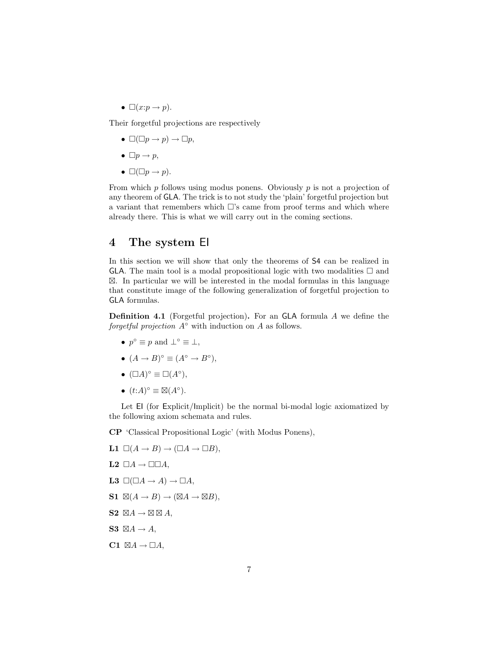•  $\Box(x:p\rightarrow p)$ .

Their forgetful projections are respectively

- $\square(\square p \rightarrow p) \rightarrow \square p,$
- $\Box p \rightarrow p$ ,
- $\square(\square p \rightarrow p)$ .

From which  $p$  follows using modus ponens. Obviously  $p$  is not a projection of any theorem of GLA. The trick is to not study the 'plain' forgetful projection but a variant that remembers which  $\Box$ 's came from proof terms and which where already there. This is what we will carry out in the coming sections.

## **4 The system** EI

In this section we will show that only the theorems of S4 can be realized in GLA. The main tool is a modal propositional logic with two modalities  $\Box$  and -. In particular we will be interested in the modal formulas in this language that constitute image of the following generalization of forgetful projection to GLA formulas.

**Definition 4.1** (Forgetful projection)**.** For an GLA formula A we define the *forgetful projection* A◦ with induction on A as follows.

- $p^{\circ} \equiv p$  and  $\perp^{\circ} \equiv \perp$ ,
- $(A \to B)^\circ \equiv (A^\circ \to B^\circ),$
- $(\Box A)^\circ \equiv \Box (A^\circ),$
- $(t:A)^{\circ} \equiv \boxtimes (A^{\circ}).$

Let EI (for Explicit/Implicit) be the normal bi-modal logic axiomatized by the following axiom schemata and rules.

**CP** 'Classical Propositional Logic' (with Modus Ponens),

$$
L1 \square (A \rightarrow B) \rightarrow (\square A \rightarrow \square B),
$$

- **L2**  $\Box A \rightarrow \Box \Box A$ ,
- **L3**  $\Box(\Box A \rightarrow A) \rightarrow \Box A$ ,
- $S1 \ \boxtimes (A \rightarrow B) \rightarrow (\boxtimes A \rightarrow \boxtimes B),$
- $S2 \nbox{ } \boxtimes A \rightarrow \boxtimes \boxtimes A,$
- $S3 \nbox{ } \boxtimes A \rightarrow A,$
- $C1 \: \boxtimes A \rightarrow \Box A,$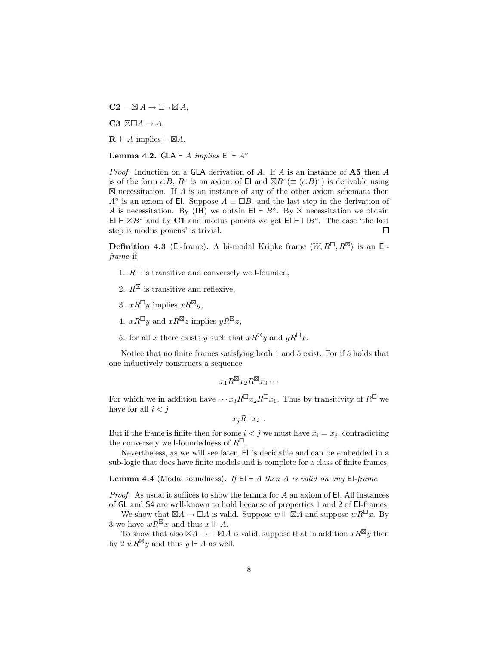$C2 \neg \boxtimes A \rightarrow \Box \neg \boxtimes A,$ 

 $C3 \quad \Box\Box A \rightarrow A,$ 

 $\mathbf{R} \vdash A \text{ implies } \vdash \boxtimes A.$ 

**Lemma 4.2.** GLA  $\vdash$  *A implies* EI  $\vdash$  *A*°

*Proof.* Induction on a GLA derivation of A. If A is an instance of **A5** then A is of the form  $c:B$ ,  $B^{\circ}$  is an axiom of El and  $\boxtimes B^{\circ} (\equiv (c:B)^{\circ})$  is derivable using  $\boxtimes$  necessitation. If A is an instance of any of the other axiom schemata then  $A<sup>°</sup>$  is an axiom of El. Suppose  $A \equiv \Box B$ , and the last step in the derivation of A is necessitation. By (IH) we obtain  $\mathsf{El} \vdash B^\circ$ . By  $\boxtimes$  necessitation we obtain  $\mathsf{El} \vdash \boxtimes B^{\circ}$  and by **C1** and modus ponens we get  $\mathsf{El} \vdash \Box B^{\circ}$ . The case 'the last step is modus ponens' is trivial.  $\Box$ 

**Definition 4.3** (El-frame). A bi-modal Kripke frame  $\langle W, R^{\sqcup}, R^{\boxtimes} \rangle$  is an El*frame* if

- 1.  $R^{\Box}$  is transitive and conversely well-founded,
- 2.  $R^{\boxtimes}$  is transitive and reflexive,
- 3.  $xR^{\square}y$  implies  $xR^{\boxtimes}y$ ,
- 4.  $xR^{\sqcup}y$  and  $xR^{\boxtimes}z$  implies  $yR^{\boxtimes}z$ ,
- 5. for all x there exists y such that  $xR^{\boxtimes}y$  and  $yR^{\square}x$ .

Notice that no finite frames satisfying both 1 and 5 exist. For if 5 holds that one inductively constructs a sequence

$$
x_1R^{\boxtimes}x_2R^{\boxtimes}x_3\cdots
$$

For which we in addition have  $\cdots x_3R^{\square}x_2R^{\square}x_1$ . Thus by transitivity of  $R^{\square}$  we have for all  $i < j$ 

$$
x_j R^{\square} x_i .
$$

But if the frame is finite then for some  $i < j$  we must have  $x_i = x_j$ , contradicting the conversely well-foundedness of  $R^{\square}$ .

Nevertheless, as we will see later, EI is decidable and can be embedded in a sub-logic that does have finite models and is complete for a class of finite frames.

**Lemma 4.4** (Modal soundness). If  $E \vdash A$  *then* A *is valid on any*  $E \vdash$ *frame* 

*Proof.* As usual it suffices to show the lemma for A an axiom of EI. All instances of GL and S4 are well-known to hold because of properties 1 and 2 of EI-frames.

We show that  $\boxtimes A \to \Box A$  is valid. Suppose  $w \Vdash \boxtimes A$  and suppose  $wR^{\Box}x$ . By 3 we have  $wR^{\boxtimes}x$  and thus  $x \Vdash A$ .

To show that also  $\boxtimes A \to \square \boxtimes A$  is valid, suppose that in addition  $xR^{\boxtimes}y$  then by 2  $wR^{\boxtimes}y$  and thus  $y \Vdash A$  as well.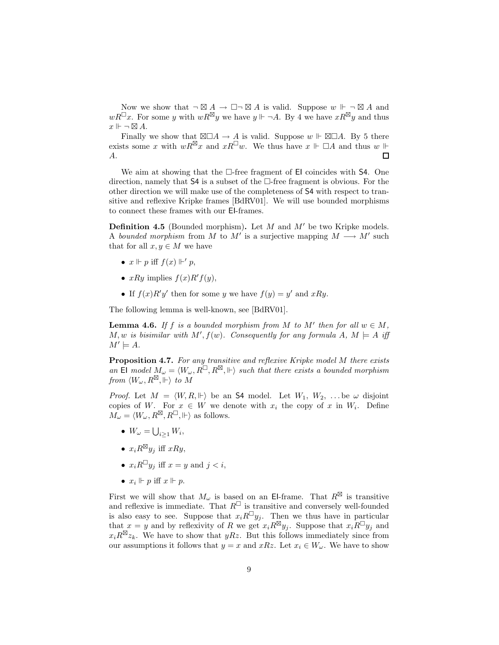Now we show that  $\neg \boxtimes A \to \Box \neg \boxtimes A$  is valid. Suppose  $w \Vdash \neg \boxtimes A$  and  $wR^{\perp}x$ . For some y with  $wR^{\boxtimes}y$  we have  $y \Vdash \neg A$ . By 4 we have  $xR^{\boxtimes}y$  and thus  $x \Vdash \neg \boxtimes A.$ 

Finally we show that  $\boxtimes \Box A \to A$  is valid. Suppose  $w \Vdash \boxtimes \Box A$ . By 5 there exists some x with  $wR^{\boxtimes}x$  and  $xR^{\Box}w$ . We thus have  $x \Vdash \Box A$  and thus  $w \Vdash$ A.  $\Box$ 

We aim at showing that the  $\Box$ -free fragment of El coincides with S4. One direction, namely that  $S4$  is a subset of the  $\Box$ -free fragment is obvious. For the other direction we will make use of the completeness of S4 with respect to transitive and reflexive Kripke frames [BdRV01]. We will use bounded morphisms to connect these frames with our EI-frames.

**Definition 4.5** (Bounded morphism). Let  $M$  and  $M'$  be two Kripke models. A *bounded morphism* from M to M' is a surjective mapping  $M \longrightarrow M'$  such that for all  $x, y \in M$  we have

- $x \Vdash p$  iff  $f(x) \Vdash' p$ ,
- $xRy$  implies  $f(x)R'f(y)$ ,
- If  $f(x)R'y'$  then for some y we have  $f(y) = y'$  and  $xRy$ .

The following lemma is well-known, see [BdRV01].

**Lemma 4.6.** *If*  $f$  *is a bounded morphism from*  $M$  *to*  $M'$  *then for all*  $w \in M$ *,*  $M, w$  is bisimilar with  $M', f(w)$ . Consequently for any formula  $A, M \models A$  iff  $M' \models A$ *.* 

**Proposition 4.7.** *For any transitive and reflexive Kripke model* M *there exists* an El model  $M_{\omega} = \langle W_{\omega}, R^{\square}, R^{\boxtimes}, \Vdash \rangle$  such that there exists a bounded morphism  $\it{from}~\langle W_\omega,R^\boxtimes,\Vdash\rangle~to~M$ 

*Proof.* Let  $M = \langle W, R, \Vdash \rangle$  be an **S4** model. Let  $W_1, W_2, \ldots$  be  $\omega$  disjoint copies of W. For  $x \in W$  we denote with  $x_i$  the copy of x in  $W_i$ . Define  $M_{\omega} = \langle W_{\omega}, R^{\boxtimes}, R^{\boxminus}, \Vdash \rangle$  as follows.

- $W_{\omega} = \bigcup_{i \geq 1} W_i,$
- $x_i R^{\boxtimes} y_j$  iff  $xRy$ ,
- $x_i R^{\square} y_j$  iff  $x = y$  and  $j < i$ ,
- $x_i \Vdash p$  iff  $x \Vdash p$ .

First we will show that  $M_{\omega}$  is based on an El-frame. That  $R^{\boxtimes}$  is transitive and reflexive is immediate. That  $R^{\Box}$  is transitive and conversely well-founded is also easy to see. Suppose that  $x_iR^{\square}y_j$ . Then we thus have in particular that  $x = y$  and by reflexivity of R we get  $x_i R^{\boxtimes} y_j$ . Suppose that  $x_i R^{\Box} y_j$  and  $x_i R^{\boxtimes} z_k$ . We have to show that  $yRz$ . But this follows immediately since from our assumptions it follows that  $y = x$  and  $xRz$ . Let  $x_i \in W_\omega$ . We have to show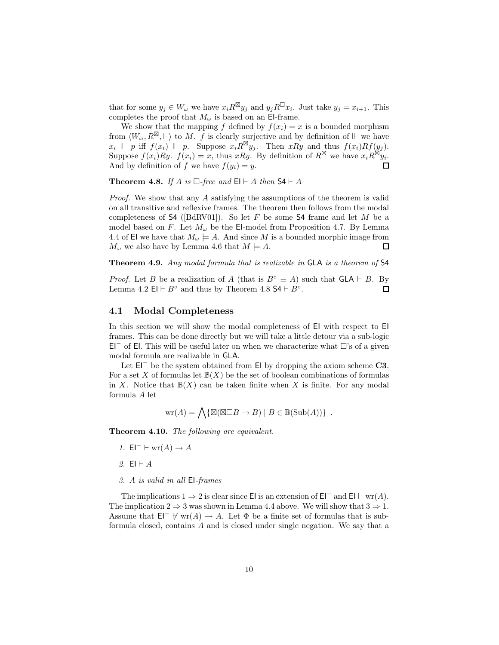that for some  $y_j \in W_\omega$  we have  $x_i R^{\boxtimes} y_j$  and  $y_j R^{\square} x_i$ . Just take  $y_j = x_{i+1}$ . This completes the proof that  $M_{\omega}$  is based on an El-frame.

We show that the mapping f defined by  $f(x_i) = x$  is a bounded morphism from  $\langle W_\omega, R^{\boxtimes}, \Vdash \rangle$  to M. f is clearly surjective and by definition of  $\Vdash$  we have  $x_i \Vdash p$  iff  $f(x_i) \Vdash p$ . Suppose  $x_i R^{\boxtimes} y_j$ . Then  $xRy$  and thus  $f(x_i)Rf(y_j)$ . Suppose  $f(x_i)Ry$ .  $f(x_i) = x$ , thus  $xRy$ . By definition of  $R^{\boxtimes}$  we have  $x_iR^{\boxtimes}y_i$ . And by definition of f we have  $f(y_i) = y$ . 口

**Theorem 4.8.** *If*  $A$  *is*  $\square$ -free and  $\mathsf{El} \vdash A$  *then*  $\mathsf{S4} \vdash A$ 

*Proof.* We show that any A satisfying the assumptions of the theorem is valid on all transitive and reflexive frames. The theorem then follows from the modal completeness of  $\mathsf{S4}$  ([BdRV01]). So let F be some  $\mathsf{S4}$  frame and let M be a model based on F. Let  $M_{\omega}$  be the El-model from Proposition 4.7. By Lemma 4.4 of EI we have that  $M_{\omega} \models A$ . And since M is a bounded morphic image from  $M_{\omega}$  we also have by Lemma 4.6 that  $M \models A$ .  $\Box$ 

**Theorem 4.9.** *Any modal formula that is realizable in* GLA *is a theorem of* S4

*Proof.* Let B be a realization of A (that is  $B^{\circ} \equiv A$ ) such that  $GLA \vdash B$ . By Lemma 4.2 EI  $\vdash B^{\circ}$  and thus by Theorem 4.8 S4  $\vdash B^{\circ}$ .  $\Box$ 

#### **4.1 Modal Completeness**

In this section we will show the modal completeness of EI with respect to EI frames. This can be done directly but we will take a little detour via a sub-logic E<sup> $-$ </sup> of El. This will be useful later on when we characterize what  $\Box$ 's of a given modal formula are realizable in GLA.

Let EI<sup>−</sup> be the system obtained from EI by dropping the axiom scheme **C3**. For a set X of formulas let  $\mathbb{B}(X)$  be the set of boolean combinations of formulas in X. Notice that  $\mathbb{B}(X)$  can be taken finite when X is finite. For any modal formula A let

$$
wr(A) = \bigwedge \{ \boxtimes (\boxtimes \Box B \to B) \mid B \in \mathbb{B}(\text{Sub}(A)) \} .
$$

**Theorem 4.10.** *The following are equivalent.*

- *1.*  $EI^- \vdash \text{wr}(A) \rightarrow A$
- 2.  $El \vdash A$
- *3.* A *is valid in all* EI*-frames*

The implications  $1 \Rightarrow 2$  is clear since EI is an extension of EI<sup>-</sup> and EI  $\vdash$  wr(A). The implication  $2 \Rightarrow 3$  was shown in Lemma 4.4 above. We will show that  $3 \Rightarrow 1$ . Assume that  $\mathsf{El}^- \not\vdash \text{wr}(A) \to A$ . Let  $\Phi$  be a finite set of formulas that is subformula closed, contains A and is closed under single negation. We say that a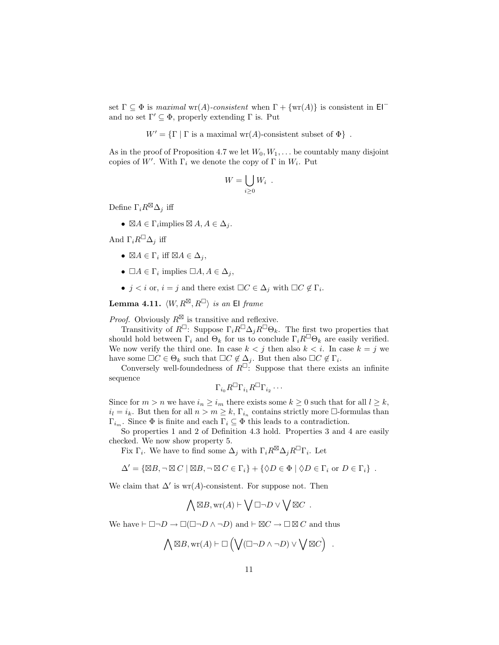set  $\Gamma \subseteq \Phi$  is *maximal* wr(A)-consistent when  $\Gamma + \{wr(A)\}$  is consistent in  $El^$ and no set  $\Gamma' \subseteq \Phi$ , properly extending  $\Gamma$  is. Put

 $W' = \{ \Gamma \mid \Gamma \text{ is a maximal wr}(A) \text{-consistent subset of } \Phi \}.$ 

As in the proof of Proposition 4.7 we let  $W_0, W_1, \ldots$  be countably many disjoint copies of W'. With  $\Gamma_i$  we denote the copy of  $\Gamma$  in  $W_i$ . Put

$$
W = \bigcup_{i \geq 0} W_i \enspace .
$$

Define  $\Gamma_i R^{\boxtimes} \Delta_j$  iff

•  $\boxtimes A \in \Gamma_i$ implies  $\boxtimes A, A \in \Delta_j$ .

And  $\Gamma_i R^{\square} \Delta_j$  iff

- $\boxtimes A \in \Gamma_i$  iff  $\boxtimes A \in \Delta_j$ ,
- $\Box A \in \Gamma_i$  implies  $\Box A, A \in \Delta_i$ ,
- $j < i$  or,  $i = j$  and there exist  $\Box C \in \Delta_j$  with  $\Box C \notin \Gamma_i$ .

 $\textbf{Lemma 4.11.} \ \langle W, R^{\boxtimes}, R^{\square} \rangle \ \textit{is an} \ \textbf{El} \ \textit{frame}$ 

*Proof.* Obviously  $R^{\boxtimes}$  is transitive and reflexive.

Transitivity of  $R^{\Box}$ : Suppose  $\Gamma_i R^{\Box} \Delta_j R^{\Box} \Theta_k$ . The first two properties that should hold between  $\Gamma_i$  and  $\Theta_k$  for us to conclude  $\Gamma_i R^{\square} \Theta_k$  are easily verified. We now verify the third one. In case  $k < j$  then also  $k < i$ . In case  $k = j$  we have some  $\Box C \in \Theta_k$  such that  $\Box C \notin \Delta_j$ . But then also  $\Box C \notin \Gamma_i$ .

Conversely well-foundedness of  $R^{\square}$ : Suppose that there exists an infinite sequence

$$
\Gamma_{i_0}R^{\square}\Gamma_{i_1}R^{\square}\Gamma_{i_2}\cdots
$$

Since for  $m>n$  we have  $i_n \geq i_m$  there exists some  $k \geq 0$  such that for all  $l \geq k$ ,  $i_l = i_k$ . But then for all  $n > m \geq k$ ,  $\Gamma_{i_n}$  contains strictly more  $\Box$ -formulas than  $Γ<sub>i<sub>m</sub></sub>$ . Since  $Φ$  is finite and each Γ<sub>i</sub> ⊆  $Φ$  this leads to a contradiction.

So properties 1 and 2 of Definition 4.3 hold. Properties 3 and 4 are easily checked. We now show property 5.

Fix  $\Gamma_i$ . We have to find some  $\Delta_j$  with  $\Gamma_i R^{\boxtimes} \Delta_j R^{\square} \Gamma_i$ . Let

$$
\Delta' = \{ \boxtimes B, \neg \boxtimes C \mid \boxtimes B, \neg \boxtimes C \in \Gamma_i \} + \{ \Diamond D \in \Phi \mid \Diamond D \in \Gamma_i \text{ or } D \in \Gamma_i \} .
$$

We claim that  $\Delta'$  is wr(A)-consistent. For suppose not. Then

$$
\bigwedge \boxtimes B, \text{wr}(A) \vdash \bigvee \Box \neg D \vee \bigvee \boxtimes C .
$$

We have  $\vdash \Box \neg D \rightarrow \Box (\Box \neg D \land \neg D)$  and  $\vdash \boxtimes C \rightarrow \Box \boxtimes C$  and thus

$$
\bigwedge\boxtimes B, \mathrm{wr}(A) \vdash \Box\left(\bigvee(\Box\neg D \wedge \neg D) \vee \bigvee\boxtimes C\right) \ .
$$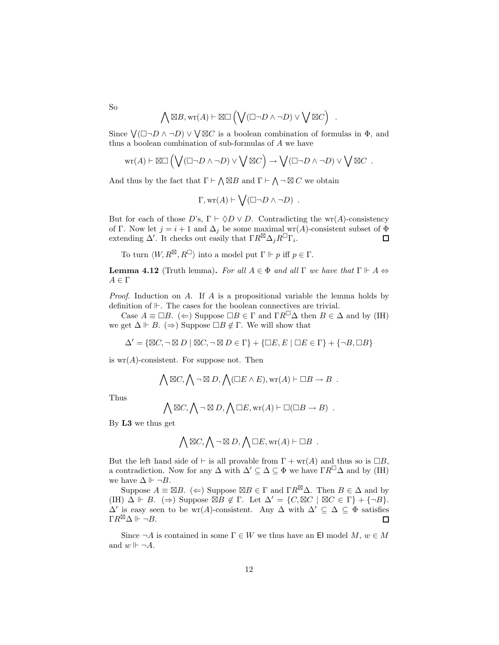$$
\bigwedge \boxtimes B, \text{wr}(A) \vdash \boxtimes \Box \left( \bigvee (\Box \neg D \land \neg D) \lor \bigvee \boxtimes C \right) .
$$

Since  $\bigvee(\Box\neg D \land \neg D) \lor \bigvee \boxtimes C$  is a boolean combination of formulas in  $\Phi$ , and thus a boolean combination of sub-formulas of A we have

$$
\mathrm{wr}(A) \vdash \boxtimes \Box \left( \bigvee (\Box \neg D \land \neg D) \lor \bigvee \boxtimes C \right) \to \bigvee (\Box \neg D \land \neg D) \lor \bigvee \boxtimes C \ .
$$

And thus by the fact that  $\Gamma \vdash \bigwedge \boxtimes B$  and  $\Gamma \vdash \bigwedge \neg \boxtimes C$  we obtain

$$
\Gamma, \text{wr}(A) \vdash \bigvee (\Box \neg D \land \neg D) .
$$

But for each of those  $D$ 's,  $\Gamma \vdash \Diamond D \lor D$ . Contradicting the wr(A)-consistency of Γ. Now let  $j = i + 1$  and  $\Delta_j$  be some maximal wr(A)-consistent subset of  $\Phi$ extending  $\Delta'$ . It checks out easily that  $\Gamma R^{\boxtimes} \Delta_j R^{\square} \Gamma_i$ .  $\Box$ 

To turn  $\langle W, R^{\boxtimes}, R^{\square} \rangle$  into a model put  $\Gamma \Vdash p$  iff  $p \in \Gamma$ .

**Lemma 4.12** (Truth lemma). *For all*  $A \in \Phi$  *and all*  $\Gamma$  *we have that*  $\Gamma \Vdash A \Leftrightarrow$  $A \in \Gamma$ 

*Proof.* Induction on A. If A is a propositional variable the lemma holds by definition of  $\mathbb{H}$ . The cases for the boolean connectives are trivial.

Case  $A \equiv \Box B$ . ( $\Leftarrow$ ) Suppose  $\Box B \in \Gamma$  and  $\Gamma R^{\Box} \Delta$  then  $B \in \Delta$  and by (IH) we get  $\Delta \Vdash B$ . (⇒) Suppose  $\Box B \notin \Gamma$ . We will show that

$$
\Delta' = \{ \boxtimes C, \neg \boxtimes D \mid \boxtimes C, \neg \boxtimes D \in \Gamma \} + \{ \Box E, E \mid \Box E \in \Gamma \} + \{ \neg B, \Box B \}
$$

is  $wr(A)$ -consistent. For suppose not. Then

$$
\bigwedge \boxtimes C, \bigwedge \neg \boxtimes D, \bigwedge (\Box E \land E), \text{wr}(A) \vdash \Box B \to B .
$$

Thus

$$
\bigwedge \boxtimes C, \bigwedge \neg \boxtimes D, \bigwedge \Box E, \text{wr}(A) \vdash \Box (\Box B \to B) .
$$

By **L3** we thus get

$$
\bigwedge \boxtimes C, \bigwedge \neg \boxtimes D, \bigwedge \Box E, \text{wr}(A) \vdash \Box B .
$$

But the left hand side of  $\vdash$  is all provable from  $\Gamma + \text{wr}(A)$  and thus so is  $\Box B$ , a contradiction. Now for any  $\Delta$  with  $\Delta' \subseteq \Delta \subseteq \Phi$  we have  $\Gamma R^{\square} \Delta$  and by (IH) we have  $\Delta \Vdash \neg B$ .

Suppose  $A \equiv \boxtimes B$ . ( $\Leftarrow$ ) Suppose  $\boxtimes B \in \Gamma$  and  $\Gamma R^{\boxtimes} \Delta$ . Then  $B \in \Delta$  and by  $(H) \Delta \vdash B. \ (\Rightarrow)$  Suppose  $\boxtimes B \notin \Gamma.$  Let  $\Delta' = \{C, \boxtimes C \mid \boxtimes C \in \Gamma\} + \{\neg B\}.$  $\Delta'$  is easy seen to be wr(A)-consistent. Any  $\Delta$  with  $\Delta' \subseteq \Delta \subseteq \Phi$  satisfies  $\Gamma R^{\boxtimes} \Delta \Vdash \neg B.$  $\Box$ 

Since  $\neg A$  is contained in some  $\Gamma \in W$  we thus have an El model  $M, w \in M$ and  $w \Vdash \neg A$ .

So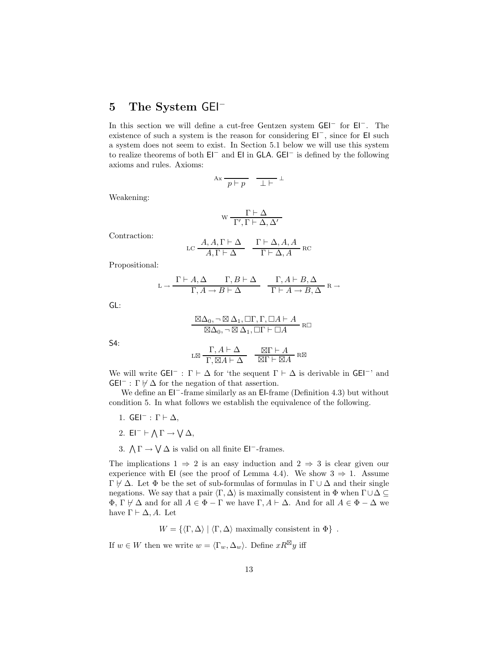# **5 The System** GEI<sup>−</sup>

In this section we will define a cut-free Gentzen system GEI<sup>−</sup> for EI<sup>−</sup>. The existence of such a system is the reason for considering EI<sup>−</sup>, since for EI such a system does not seem to exist. In Section 5.1 below we will use this system to realize theorems of both EI<sup>−</sup> and EI in GLA. GEI<sup>−</sup> is defined by the following axioms and rules. Axioms:

$$
\mathbf{A}\mathbf{x}~\frac{}{p\vdash p} \quad \frac{}{\bot\vdash}\ ^{\bot}
$$

Weakening:

$$
w \, \frac{\Gamma \vdash \Delta}{\Gamma', \Gamma \vdash \Delta, \Delta'}
$$

Contraction:

$$
\text{LC} \frac{A, A, \Gamma \vdash \Delta}{A, \Gamma \vdash \Delta} \quad \frac{\Gamma \vdash \Delta, A, A}{\Gamma \vdash \Delta, A} \text{RC}
$$

Propositional:

$$
\mathbf{L} \rightarrow \frac{\Gamma \vdash A, \Delta \qquad \Gamma, B \vdash \Delta}{\Gamma, A \rightarrow B \vdash \Delta} \quad \frac{\Gamma, A \vdash B, \Delta}{\Gamma \vdash A \rightarrow B, \Delta} \ \mathbf{R} \rightarrow
$$

GL:

$$
\frac{\boxtimes \Delta_0, \neg \boxtimes \Delta_1, \Box \Gamma, \Gamma, \Box A \vdash A}{\boxtimes \Delta_0, \neg \boxtimes \Delta_1, \Box \Gamma \vdash \Box A} \negthinspace\negthinspace \text{R} \Box
$$

S4:  
\n
$$
L \boxtimes \frac{\Gamma, A \vdash \Delta}{\Gamma, \boxtimes A \vdash \Delta} \quad \frac{\boxtimes \Gamma \vdash A}{\boxtimes \Gamma \vdash \boxtimes A} \text{RS}
$$

We will write  $G \to \Gamma \vdash \Delta$  for 'the sequent  $\Gamma \vdash \Delta$  is derivable in  $G \to \mathbb{R}$  and  $GEI^- : \Gamma \not\vdash \Delta$  for the negation of that assertion.

We define an EI<sup>−</sup>-frame similarly as an EI-frame (Definition 4.3) but without condition 5. In what follows we establish the equivalence of the following.

- 1.  $GEI^-$ :  $\Gamma \vdash \Delta$ ,
- 2. EI<sup>-</sup>  $\vdash \bigwedge \Gamma \rightarrow \bigvee \Delta$ ,
- 3.  $\Lambda \Gamma \rightarrow \mathsf{V} \Delta$  is valid on all finite EI<sup>-</sup>-frames.

The implications  $1 \Rightarrow 2$  is an easy induction and  $2 \Rightarrow 3$  is clear given our experience with EI (see the proof of Lemma 4.4). We show  $3 \Rightarrow 1$ . Assume  $\Gamma \not\vdash \Delta$ . Let  $\Phi$  be the set of sub-formulas of formulas in  $\Gamma \cup \Delta$  and their single negations. We say that a pair  $\langle \Gamma, \Delta \rangle$  is maximally consistent in  $\Phi$  when  $\Gamma \cup \Delta \subseteq$  $\Phi$ ,  $\Gamma \not\vdash \Delta$  and for all  $A \in \Phi - \Gamma$  we have  $\Gamma, A \vdash \Delta$ . And for all  $A \in \Phi - \Delta$  we have  $\Gamma \vdash \Delta, A$ . Let

 $W = \{ \langle \Gamma, \Delta \rangle \mid \langle \Gamma, \Delta \rangle \text{ maximally consistent in } \Phi \}.$ 

If  $w \in W$  then we write  $w = \langle \Gamma_w, \Delta_w \rangle$ . Define  $xR^{\boxtimes}y$  iff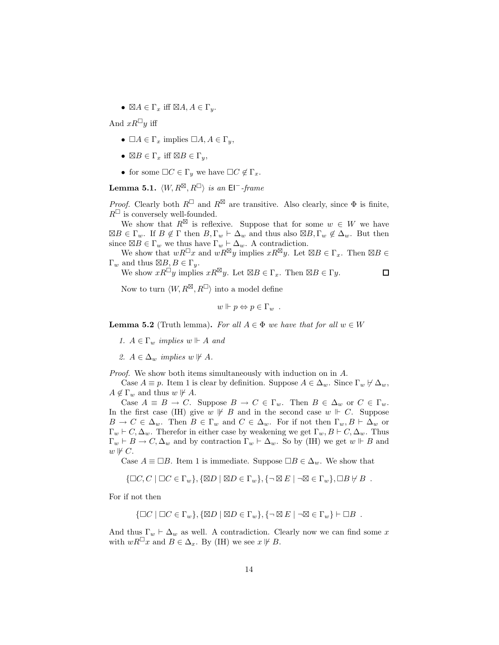•  $\boxtimes A \in \Gamma_x$  iff  $\boxtimes A, A \in \Gamma_y$ .

And  $xR^{\square}y$  iff

- $\Box A \in \Gamma_x$  implies  $\Box A, A \in \Gamma_y$ ,
- $\boxtimes B \in \Gamma_x$  iff  $\boxtimes B \in \Gamma_y$ ,
- for some  $\Box C \in \Gamma_y$  we have  $\Box C \notin \Gamma_x$ .

 $\textbf{Lemma 5.1.} \ \langle W, R^{\boxtimes}, R^{\boxminus} \rangle \ \textit{is an} \ \textsf{El}^{-\textit{-frame}}$ 

*Proof.* Clearly both  $R^{\square}$  and  $R^{\boxtimes}$  are transitive. Also clearly, since  $\Phi$  is finite,  $R^{\square}$  is conversely well-founded.

We show that  $R^{\boxtimes}$  is reflexive. Suppose that for some  $w \in W$  we have  $\boxtimes B \in \Gamma_w$ . If  $B \notin \Gamma$  then  $B, \Gamma_w \vdash \Delta_w$  and thus also  $\boxtimes B, \Gamma_w \notin \Delta_w$ . But then since  $\boxtimes B \in \Gamma_w$  we thus have  $\Gamma_w \vdash \Delta_w$ . A contradiction.

We show that  $wR^{\perp}x$  and  $wR^{\boxtimes}y$  implies  $xR^{\boxtimes}y$ . Let  $\boxtimes B \in \Gamma_x$ . Then  $\boxtimes B \in$  $\Gamma_w$  and thus  $\boxtimes B, B \in \Gamma_y$ .

We show  $xR^{\perp}y$  implies  $xR^{\boxtimes}y$ . Let  $\boxtimes B \in \Gamma_x$ . Then  $\boxtimes B \in \Gamma y$ .  $\Box$ 

Now to turn  $\langle W, R^{\boxtimes}, R^{\square} \rangle$  into a model define

 $w \Vdash p \Leftrightarrow p \in \Gamma_w$ .

**Lemma 5.2** (Truth lemma). For all  $A \in \Phi$  we have that for all  $w \in W$ 

*1.*  $A \in \Gamma_w$  *implies*  $w \Vdash A$  *and* 

2.  $A \in \Delta_w$  *implies*  $w \not\vdash A$ .

*Proof.* We show both items simultaneously with induction on in A.

Case  $A \equiv p$ . Item 1 is clear by definition. Suppose  $A \in \Delta_w$ . Since  $\Gamma_w \not\vdash \Delta_w$ ,  $A \notin \Gamma_w$  and thus  $w \not\vdash A$ .

Case  $A \equiv B \to C$ . Suppose  $B \to C \in \Gamma_w$ . Then  $B \in \Delta_w$  or  $C \in \Gamma_w$ . In the first case (IH) give  $w \not\vdash B$  and in the second case  $w \not\vdash C$ . Suppose  $B \to C \in \Delta_w$ . Then  $B \in \Gamma_w$  and  $C \in \Delta_w$ . For if not then  $\Gamma_w, B \vdash \Delta_w$  or  $\Gamma_w \vdash C, \Delta_w$ . Therefor in either case by weakening we get  $\Gamma_w, B \vdash C, \Delta_w$ . Thus  $\Gamma_w \vdash B \to C, \Delta_w$  and by contraction  $\Gamma_w \vdash \Delta_w$ . So by (IH) we get  $w \Vdash B$  and  $w \not\Vdash C.$ 

Case  $A \equiv \Box B$ . Item 1 is immediate. Suppose  $\Box B \in \Delta_w$ . We show that

$$
\{\Box C, C \mid \Box C \in \Gamma_w\}, \{\boxtimes D \mid \boxtimes D \in \Gamma_w\}, \{\neg \boxtimes E \mid \neg \boxtimes \in \Gamma_w\}, \Box B \nvdash B.
$$

For if not then

$$
\{\Box C \mid \Box C \in \Gamma_w\}, \{\boxtimes D \mid \boxtimes D \in \Gamma_w\}, \{\neg \boxtimes E \mid \neg \boxtimes \in \Gamma_w\} \vdash \Box B .
$$

And thus  $\Gamma_w \vdash \Delta_w$  as well. A contradiction. Clearly now we can find some x with  $wR^{\perp}x$  and  $B \in \Delta_x$ . By (IH) we see  $x \not\vdash B$ .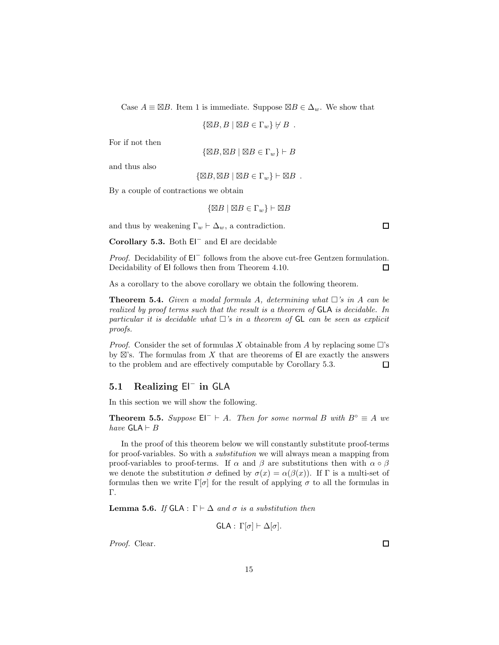Case  $A \equiv \boxtimes B$ . Item 1 is immediate. Suppose  $\boxtimes B \in \Delta_w$ . We show that

$$
\{\boxtimes B, B \mid \boxtimes B \in \Gamma_w\} \not\vdash B .
$$

For if not then

$$
\{\boxtimes B, \boxtimes B \mid \boxtimes B \in \Gamma_w\} \vdash B
$$

and thus also

 $\{\boxtimes B, \boxtimes B \mid \boxtimes B \in \Gamma_w\} \vdash \boxtimes B$ .

By a couple of contractions we obtain

 $\{\boxtimes B \mid \boxtimes B \in \Gamma_w\} \vdash \boxtimes B$ 

and thus by weakening  $\Gamma_w \vdash \Delta_w$ , a contradiction.

**Corollary 5.3.** Both EI<sup>−</sup> and EI are decidable

*Proof.* Decidability of EI<sup>−</sup> follows from the above cut-free Gentzen formulation. Decidability of EI follows then from Theorem 4.10. □

As a corollary to the above corollary we obtain the following theorem.

**Theorem 5.4.** *Given a modal formula A, determining what*  $\Box$ 's in A can be *realized by proof terms such that the result is a theorem of* GLA *is decidable. In particular it is decidable what*  $\Box$ 's *in a theorem of*  $GL$  *can be seen as explicit proofs.*

*Proof.* Consider the set of formulas X obtainable from A by replacing some  $\Box$ 's by  $\boxtimes$ 's. The formulas from X that are theorems of EI are exactly the answers to the problem and are effectively computable by Corollary 5.3.  $\Box$ 

### **5.1 Realizing** EI*<sup>−</sup>* **in** GLA

In this section we will show the following.

**Theorem 5.5.** *Suppose*  $E\Gamma$  + A. *Then for some normal* B *with*  $B^\circ \equiv A$  *we have*  $GLA \vdash B$ 

In the proof of this theorem below we will constantly substitute proof-terms for proof-variables. So with a *substitution* we will always mean a mapping from proof-variables to proof-terms. If  $\alpha$  and  $\beta$  are substitutions then with  $\alpha \circ \beta$ we denote the substitution  $\sigma$  defined by  $\sigma(x) = \alpha(\beta(x))$ . If  $\Gamma$  is a multi-set of formulas then we write  $\Gamma[\sigma]$  for the result of applying  $\sigma$  to all the formulas in Γ.

**Lemma 5.6.** *If* GLA : Γ  $\vdash$  Δ *and*  $\sigma$  *is a substitution then* 

GLA :  $\Gamma[\sigma]$   $\vdash$   $\Delta[\sigma]$ .

*Proof.* Clear.

□

 $\Box$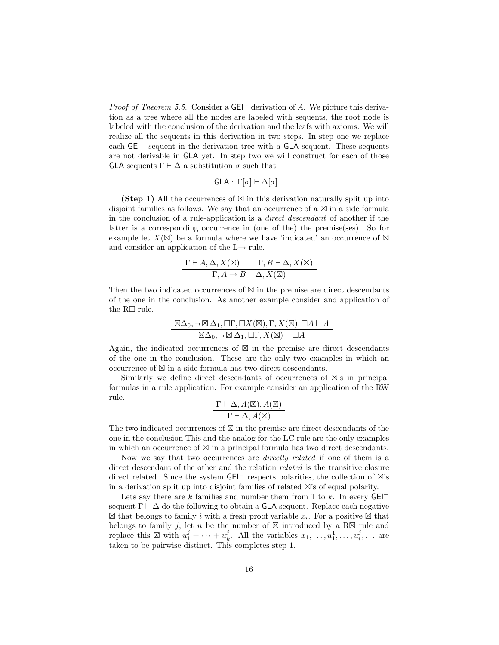*Proof of Theorem 5.5.* Consider a GEI<sup>−</sup> derivation of A. We picture this derivation as a tree where all the nodes are labeled with sequents, the root node is labeled with the conclusion of the derivation and the leafs with axioms. We will realize all the sequents in this derivation in two steps. In step one we replace each GEI<sup>−</sup> sequent in the derivation tree with a GLA sequent. These sequents are not derivable in GLA yet. In step two we will construct for each of those GLA sequents  $\Gamma \vdash \Delta$  a substitution  $\sigma$  such that

$$
GLA: \Gamma[\sigma] \vdash \Delta[\sigma] .
$$

**(Step 1)** All the occurrences of  $\boxtimes$  in this derivation naturally split up into disjoint families as follows. We say that an occurrence of a  $\boxtimes$  in a side formula in the conclusion of a rule-application is a *direct descendant* of another if the latter is a corresponding occurrence in (one of the) the premise(ses). So for example let  $X(\boxtimes)$  be a formula where we have 'indicated' an occurrence of  $\boxtimes$ and consider an application of the  $L \rightarrow$  rule.

$$
\frac{\Gamma \vdash A, \Delta, X(\boxtimes) \qquad \Gamma, B \vdash \Delta, X(\boxtimes)}{\Gamma, A \to B \vdash \Delta, X(\boxtimes)}
$$

Then the two indicated occurrences of  $\boxtimes$  in the premise are direct descendants of the one in the conclusion. As another example consider and application of the  $R\Box$  rule.

$$
\frac{\boxtimes \Delta_0, \neg \boxtimes \Delta_1, \Box \Gamma, \Box X (\boxtimes), \Gamma, X (\boxtimes), \Box A \vdash A}{\boxtimes \Delta_0, \neg \boxtimes \Delta_1, \Box \Gamma, X (\boxtimes) \vdash \Box A}
$$

Again, the indicated occurrences of  $\boxtimes$  in the premise are direct descendants of the one in the conclusion. These are the only two examples in which an occurrence of  $\boxtimes$  in a side formula has two direct descendants.

Similarly we define direct descendants of occurrences of  $\boxtimes$ 's in principal formulas in a rule application. For example consider an application of the RW rule.

$$
\frac{\Gamma\vdash\Delta,A(\boxtimes),A(\boxtimes)}{\Gamma\vdash\Delta,A(\boxtimes)}
$$

The two indicated occurrences of  $\boxtimes$  in the premise are direct descendants of the one in the conclusion This and the analog for the LC rule are the only examples in which an occurrence of  $\boxtimes$  in a principal formula has two direct descendants.

Now we say that two occurrences are *directly related* if one of them is a direct descendant of the other and the relation *related* is the transitive closure direct related. Since the system  $GEI^-$  respects polarities, the collection of  $\boxtimes$ 's in a derivation split up into disjoint families of related  $\boxtimes$ 's of equal polarity.

Lets say there are k families and number them from 1 to k. In every  $GEI^$ sequent  $\Gamma \vdash \Delta$  do the following to obtain a **GLA** sequent. Replace each negative  $\boxtimes$  that belongs to family i with a fresh proof variable  $x_i$ . For a positive  $\boxtimes$  that belongs to family j, let n be the number of  $\boxtimes$  introduced by a R $\boxtimes$  rule and replace this  $\boxtimes$  with  $u_1^j + \cdots + u_k^j$ . All the variables  $x_1, \ldots, u_1^1, \ldots, u_i^j, \ldots$  are taken to be pairwise distinct. This completes step 1.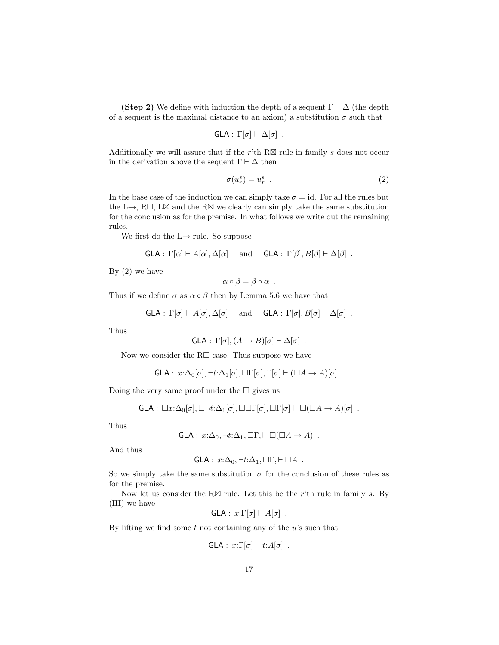**(Step 2)** We define with induction the depth of a sequent  $\Gamma \vdash \Delta$  (the depth of a sequent is the maximal distance to an axiom) a substitution  $\sigma$  such that

$$
GLA: \Gamma[\sigma] \vdash \Delta[\sigma] .
$$

Additionally we will assure that if the r'th  $R\boxtimes$  rule in family s does not occur in the derivation above the sequent  $\Gamma\vdash\Delta$  then

$$
\sigma(u_r^s) = u_r^s \tag{2}
$$

In the base case of the induction we can simply take  $\sigma = id$ . For all the rules but the L $\rightarrow$ , R $\Box$ , L $\boxtimes$  and the R $\boxtimes$  we clearly can simply take the same substitution for the conclusion as for the premise. In what follows we write out the remaining rules.

We first do the  $L \rightarrow$  rule. So suppose

$$
\mathsf{GLA}:\Gamma[\alpha]\vdash A[\alpha],\Delta[\alpha]\quad\text{ and }\quad\mathsf{GLA}:\Gamma[\beta],B[\beta]\vdash\Delta[\beta]\ .
$$

By  $(2)$  we have

$$
\alpha \circ \beta = \beta \circ \alpha .
$$

Thus if we define  $\sigma$  as  $\alpha \circ \beta$  then by Lemma 5.6 we have that

$$
\mathsf{GLA}:\Gamma[\sigma]\vdash A[\sigma],\Delta[\sigma]\quad\text{ and }\quad\mathsf{GLA}:\Gamma[\sigma],B[\sigma]\vdash\Delta[\sigma]\ .
$$

Thus

GLA: 
$$
\Gamma[\sigma]
$$
,  $(A \to B)[\sigma] \vdash \Delta[\sigma]$ .

Now we consider the  $R\Box$  case. Thus suppose we have

$$
\mathsf{GLA}: x:\Delta_0[\sigma], \neg t:\Delta_1[\sigma], \Box\Gamma[\sigma], \Gamma[\sigma] \vdash (\Box A \to A)[\sigma] .
$$

Doing the very same proof under the  $\Box$  gives us

GLA: 
$$
\Box x:\Delta_0[\sigma], \Box \neg t:\Delta_1[\sigma], \Box \Box \Gamma[\sigma], \Box \Gamma[\sigma] \vdash \Box (\Box A \rightarrow A)[\sigma]
$$
.

Thus

$$
\mathsf{GLA}: x:\Delta_0, \neg t:\Delta_1, \Box\Gamma, \vdash \Box(\Box A \to A) .
$$

And thus

GLA: 
$$
x:\Delta_0, \neg t:\Delta_1, \Box\Gamma, \vdash \Box A
$$
.

So we simply take the same substitution  $\sigma$  for the conclusion of these rules as for the premise.

Now let us consider the R $\boxtimes$  rule. Let this be the r'th rule in family s. By (IH) we have

$$
GLA: x:\Gamma[\sigma] \vdash A[\sigma] .
$$

By lifting we find some  $t$  not containing any of the  $u$ 's such that

$$
\mathsf{GLA}: x:\Gamma[\sigma] \vdash t:A[\sigma] .
$$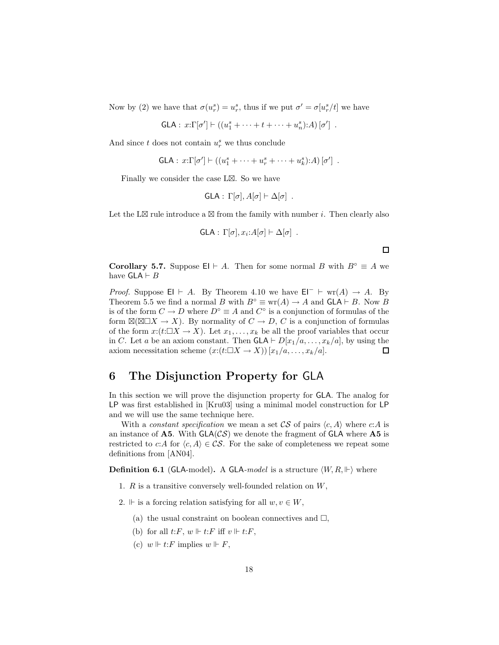Now by (2) we have that  $\sigma(u_r^s) = u_r^s$ , thus if we put  $\sigma' = \sigma[u_r^s/t]$  we have

 $GLA: x:\Gamma[\sigma'] \vdash ((u_1^s + \cdots + t + \cdots + u_n^s):A) [\sigma']$ .

And since  $t$  does not contain  $u_r^s$  we thus conclude

GLA: 
$$
x:\Gamma[\sigma'] \vdash ((u_1^s + \cdots + u_r^s + \cdots + u_k^s):A)[\sigma']
$$
.

Finally we consider the case  $L\boxtimes$ . So we have

 $GLA: \Gamma[\sigma], A[\sigma] \vdash \Delta[\sigma]$ .

Let the L $\boxtimes$  rule introduce a  $\boxtimes$  from the family with number *i*. Then clearly also

$$
\mathsf{GLA}:\,\Gamma[\sigma],x_i\colon A[\sigma]\vdash\Delta[\sigma]\;.
$$

 $\Box$ 

**Corollary 5.7.** Suppose EI  $\vdash$  A. Then for some normal B with  $B^\circ \equiv A$  we have  $GLA \vdash B$ 

*Proof.* Suppose EI  $\vdash$  A. By Theorem 4.10 we have EI<sup>-</sup>  $\vdash$  wr(A)  $\rightarrow$  A. By Theorem 5.5 we find a normal B with  $B^{\circ} \equiv \text{wr}(A) \to A$  and  $GLA \vdash B$ . Now B is of the form  $C \to D$  where  $D^{\circ} \equiv A$  and  $C^{\circ}$  is a conjunction of formulas of the form  $\mathbb{Z}(\mathbb{Z}\square X \to X)$ . By normality of  $C \to D$ , C is a conjunction of formulas of the form  $x:(t:\Box X \to X)$ . Let  $x_1,\ldots,x_k$  be all the proof variables that occur in C. Let a be an axiom constant. Then  $GLA \vdash D[x_1/a, \ldots, x_k/a]$ , by using the axiom necessitation scheme  $(x:(t:\Box X \rightarrow X)) [x_1/a, \ldots, x_k/a].$  $\Box$ 

# **6 The Disjunction Property for** GLA

In this section we will prove the disjunction property for GLA. The analog for LP was first established in [Kru03] using a minimal model construction for LP and we will use the same technique here.

With a *constant specification* we mean a set  $CS$  of pairs  $\langle c, A \rangle$  where c:A is an instance of  $\mathbf{A5}$ . With  $GLA(\mathcal{CS})$  we denote the fragment of  $GLA$  where  $\mathbf{A5}$  is restricted to c:A for  $\langle c, A \rangle \in \mathcal{CS}$ . For the sake of completeness we repeat some definitions from [AN04].

**Definition 6.1** (GLA-model). A GLA-model is a structure  $\langle W, R, \Vdash \rangle$  where

- 1. R is a transitive conversely well-founded relation on W,
- 2.  $\Vdash$  is a forcing relation satisfying for all  $w, v \in W$ ,
	- (a) the usual constraint on boolean connectives and  $\Box$ ,
	- (b) for all  $t: F, w \Vdash t: F$  iff  $v \Vdash t: F$ ,
	- (c)  $w \Vdash t: F$  implies  $w \Vdash F$ ,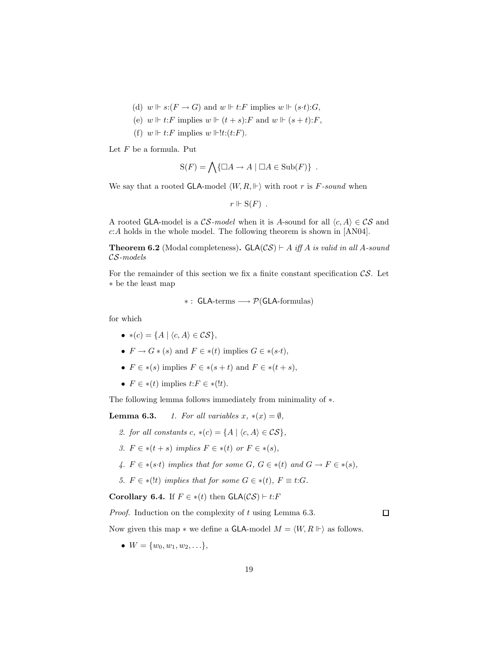- (d)  $w \Vdash s:(F \to G)$  and  $w \Vdash t:F$  implies  $w \Vdash (s \cdot t):G,$
- (e)  $w \Vdash t: F$  implies  $w \Vdash (t + s): F$  and  $w \Vdash (s + t): F$ ,
- (f)  $w \Vdash t$ : F implies  $w \Vdash !t$ : $(t$ : F).

Let  $F$  be a formula. Put

$$
S(F) = \bigwedge \{ \Box A \to A \mid \Box A \in Sub(F) \} .
$$

We say that a rooted GLA-model  $\langle W, R, \Vdash \rangle$  with root r is F-sound when

$$
r\Vdash S(F) .
$$

A rooted GLA-model is a  $\mathcal{CS}\text{-}model$  when it is A-sound for all  $\langle c, A \rangle \in \mathcal{CS}$  and c:A holds in the whole model. The following theorem is shown in [AN04].

**Theorem 6.2** (Modal completeness).  $GLA(\mathcal{CS}) \vdash A$  *iff* A *is valid in all* A-sound CS*-models*

For the remainder of this section we fix a finite constant specification  $\mathcal{CS}$ . Let ∗ be the least map

$$
*:\,\mathsf{GLA}\text{-terms}\longrightarrow\mathcal{P}(\mathsf{GLA}\text{-formulas})
$$

for which

- $*(c) = \{A \mid \langle c, A \rangle \in \mathcal{CS}\},\$
- $F \to G * (s)$  and  $F \in * (t)$  implies  $G \in * (s \cdot t)$ ,
- $F \in *(s)$  implies  $F \in *(s+t)$  and  $F \in *(t+s)$ ,
- $F \in *(t)$  implies  $t: F \in *(!t)$ .

The following lemma follows immediately from minimality of  $*$ .

**Lemma 6.3.** *1. For all variables*  $x, * (x) = \emptyset$ *,* 

- *2. for all constants*  $c, * (c) = \{A \mid \langle c, A \rangle \in \mathcal{CS}\},\$
- *3.*  $F \in *(t + s)$  *implies*  $F \in *(t)$  *or*  $F \in *(s)$ *,*
- 4.  $F \in *(s \cdot t)$  *implies that for some*  $G, G \in *(t)$  *and*  $G \to F \in *(s)$ *,*
- *5.*  $F \in *(!t)$  *implies that for some*  $G \in *(t)$ *,*  $F \equiv t$ :*G.*

**Corollary 6.4.** If  $F \in *(t)$  then  $GLA(\mathcal{CS}) \vdash t:F$ 

*Proof.* Induction on the complexity of t using Lemma 6.3.

 $\Box$ 

Now given this map  $*$  we define a GLA-model  $M = \langle W, R \Vdash \rangle$  as follows.

•  $W = \{w_0, w_1, w_2, \ldots\},\$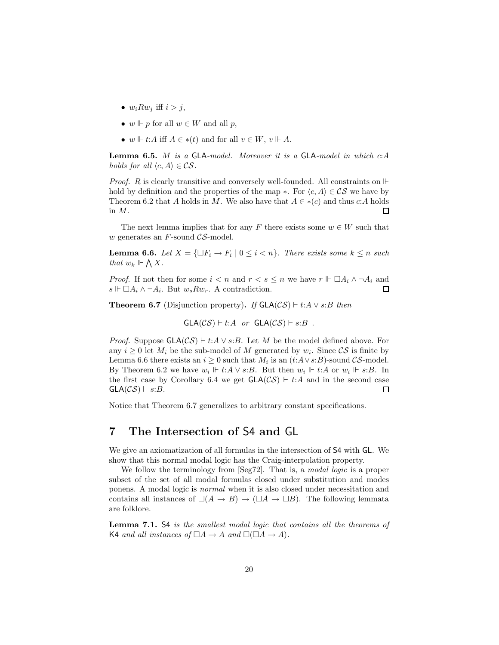- $w_i R w_j$  iff  $i > j$ ,
- $w \Vdash p$  for all  $w \in W$  and all p,
- w  $\vdash t:A$  iff  $A \in *(t)$  and for all  $v \in W$ ,  $v \Vdash A$ .

**Lemma 6.5.** M *is a* GLA*-model. Moreover it is a* GLA*-model in which* c:A *holds for all*  $\langle c, A \rangle \in \mathcal{CS}$ .

*Proof.* R is clearly transitive and conversely well-founded. All constraints on  $\mathbb{H}$ hold by definition and the properties of the map ∗. For  $\langle c, A \rangle \in \mathcal{CS}$  we have by Theorem 6.2 that A holds in M. We also have that  $A \in *({c})$  and thus c:A holds in M.  $\Box$ 

The next lemma implies that for any F there exists some  $w \in W$  such that w generates an  $F$ -sound  $\mathcal{CS}\text{-model}$ .

**Lemma 6.6.** *Let*  $X = \{\Box F_i \to F_i \mid 0 \leq i < n\}$ *. There exists some*  $k \leq n$  *such that*  $w_k \Vdash \bigwedge X$ .

*Proof.* If not then for some  $i < n$  and  $r < s \leq n$  we have  $r \Vdash \Box A_i \land \neg A_i$  and  $s \Vdash \Box A_i \wedge \neg A_i$ . But  $w_s R w_r$ . A contradiction.  $\Box$ 

**Theorem 6.7** (Disjunction property). If  $GLA(\mathcal{CS}) \vdash t:A \vee s:B$  then

$$
GLA(\mathcal{CS}) \vdash t:A \text{ or } GLA(\mathcal{CS}) \vdash s:B .
$$

*Proof.* Suppose  $GLA(CS) \vdash t:A \vee s:B$ . Let M be the model defined above. For any  $i > 0$  let  $M_i$  be the sub-model of M generated by  $w_i$ . Since  $\mathcal{CS}$  is finite by Lemma 6.6 there exists an  $i \geq 0$  such that  $M_i$  is an  $(t:A\vee s:B)$ -sound  $\mathcal{CS}\text{-model}$ . By Theorem 6.2 we have  $w_i \Vdash t:A \vee s:B$ . But then  $w_i \Vdash t:A$  or  $w_i \Vdash s:B$ . In the first case by Corollary 6.4 we get  $GLA(CS)$  + t:A and in the second case  $GLA(CS) \vdash s:B$ .  $\Box$ 

Notice that Theorem 6.7 generalizes to arbitrary constant specifications.

# **7 The Intersection of** S4 **and** GL

We give an axiomatization of all formulas in the intersection of S4 with GL. We show that this normal modal logic has the Craig-interpolation property.

We follow the terminology from [Seg72]. That is, a *modal logic* is a proper subset of the set of all modal formulas closed under substitution and modes ponens. A modal logic is *normal* when it is also closed under necessitation and contains all instances of  $\square(A \to B) \to (\square A \to \square B)$ . The following lemmata are folklore.

**Lemma 7.1.** S4 *is the smallest modal logic that contains all the theorems of* K4 *and all instances of*  $\Box A \rightarrow A$  *and*  $\Box(\Box A \rightarrow A)$ *.*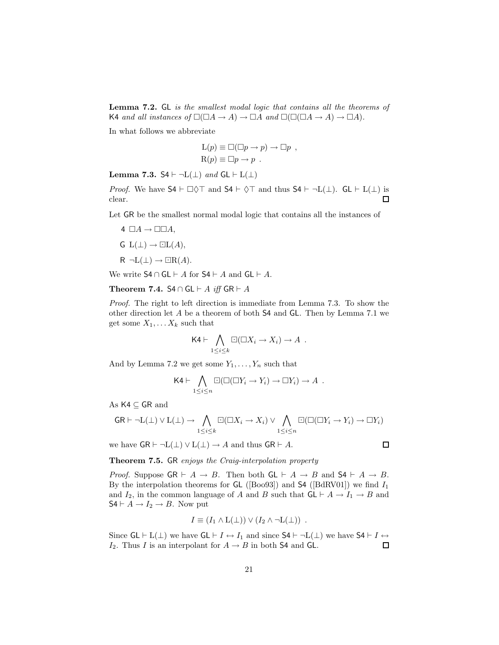**Lemma 7.2.** GL *is the smallest modal logic that contains all the theorems of* K4 and all instances of  $\square(\square A \rightarrow A) \rightarrow \square A$  and  $\square(\square(\square A \rightarrow A) \rightarrow \square A)$ .

In what follows we abbreviate

$$
L(p) \equiv \Box(\Box p \to p) \to \Box p ,
$$
  
\n
$$
R(p) \equiv \Box p \to p .
$$

**Lemma 7.3.**  $S4 \vdash \neg L(\bot)$  *and*  $GL \vdash L(\bot)$ 

*Proof.* We have  $S4 \vdash \Box \Diamond \top$  and  $S4 \vdash \Diamond \top$  and thus  $S4 \vdash \neg L(\bot)$ .  $GL \vdash L(\bot)$  is clear.  $\Box$ 

Let GR be the smallest normal modal logic that contains all the instances of

4  $\Box A \rightarrow \Box \Box A$ ,  $G L(\perp) \rightarrow \Box L(A),$  $R \neg L(\perp) \rightarrow \Box R(A).$ 

We write  $S4 \cap GL \vdash A$  for  $S4 \vdash A$  and  $GL \vdash A$ .

**Theorem 7.4.** S4 ∩ GL  $\vdash$  A *iff* GR  $\vdash$  A

*Proof.* The right to left direction is immediate from Lemma 7.3. To show the other direction let A be a theorem of both S4 and GL. Then by Lemma 7.1 we get some  $X_1, \ldots X_k$  such that

$$
\mathsf{K4}\vdash \bigwedge_{1\leq i\leq k}\Box(\Box X_i\rightarrow X_i)\rightarrow A\ .
$$

And by Lemma 7.2 we get some  $Y_1, \ldots, Y_n$  such that

$$
\mathsf{K4}\vdash \bigwedge_{1\leq i\leq n}\Box(\Box(\Box Y_i\rightarrow Y_i)\rightarrow \Box Y_i)\rightarrow A\ .
$$

As K4 ⊆ GR and

$$
\mathsf{GR} \vdash \neg \mathsf{L}(\bot) \lor \mathsf{L}(\bot) \to \bigwedge_{1 \leq i \leq k} \Box(\Box X_i \to X_i) \lor \bigwedge_{1 \leq i \leq n} \Box(\Box(\Box Y_i \to Y_i) \to \Box Y_i)
$$

we have  $GR \vdash \neg L(\bot) \lor L(\bot) \rightarrow A$  and thus  $GR \vdash A$ .

**Theorem 7.5.** GR *enjoys the Craig-interpolation property*

*Proof.* Suppose  $GR \vdash A \rightarrow B$ . Then both  $GL \vdash A \rightarrow B$  and  $S4 \vdash A \rightarrow B$ . By the interpolation theorems for  $GL$  ([Boo93]) and  $S4$  ([BdRV01]) we find  $I_1$ and  $I_2$ , in the common language of A and B such that  $GL \vdash A \to I_1 \to B$  and  $S4 \vdash A \rightarrow I_2 \rightarrow B$ . Now put

$$
I \equiv (I_1 \wedge L(\perp)) \vee (I_2 \wedge \neg L(\perp)) .
$$

Since  $GL \vdash L(\perp)$  we have  $GL \vdash I \leftrightarrow I_1$  and since  $S4 \vdash \neg L(\perp)$  we have  $S4 \vdash I \leftrightarrow I_1$  $I_2$ . Thus I is an interpolant for  $A \rightarrow B$  in both S4 and GL.  $\Box$ 

 $\Box$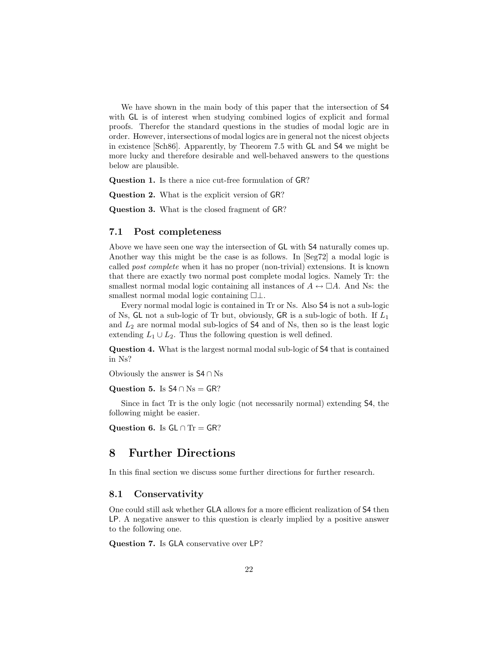We have shown in the main body of this paper that the intersection of S4 with GL is of interest when studying combined logics of explicit and formal proofs. Therefor the standard questions in the studies of modal logic are in order. However, intersections of modal logics are in general not the nicest objects in existence [Sch86]. Apparently, by Theorem 7.5 with GL and S4 we might be more lucky and therefore desirable and well-behaved answers to the questions below are plausible.

**Question 1.** Is there a nice cut-free formulation of GR?

**Question 2.** What is the explicit version of GR?

**Question 3.** What is the closed fragment of GR?

### **7.1 Post completeness**

Above we have seen one way the intersection of GL with S4 naturally comes up. Another way this might be the case is as follows. In [Seg72] a modal logic is called *post complete* when it has no proper (non-trivial) extensions. It is known that there are exactly two normal post complete modal logics. Namely Tr: the smallest normal modal logic containing all instances of  $A \leftrightarrow \Box A$ . And Ns: the smallest normal modal logic containing  $\square \bot$ .

Every normal modal logic is contained in Tr or Ns. Also S4 is not a sub-logic of Ns, GL not a sub-logic of Tr but, obviously, GR is a sub-logic of both. If  $L_1$ and  $L_2$  are normal modal sub-logics of  $S4$  and of Ns, then so is the least logic extending  $L_1 \cup L_2$ . Thus the following question is well defined.

**Question 4.** What is the largest normal modal sub-logic of S4 that is contained in Ns?

Obviously the answer is S4 ∩ Ns

**Question 5.** Is  $S4 \cap Ns = GR$ ?

Since in fact Tr is the only logic (not necessarily normal) extending S4, the following might be easier.

**Question 6.** Is  $GL \cap Tr = GR$ ?

## **8 Further Directions**

In this final section we discuss some further directions for further research.

#### **8.1 Conservativity**

One could still ask whether GLA allows for a more efficient realization of S4 then LP. A negative answer to this question is clearly implied by a positive answer to the following one.

**Question 7.** Is GLA conservative over LP?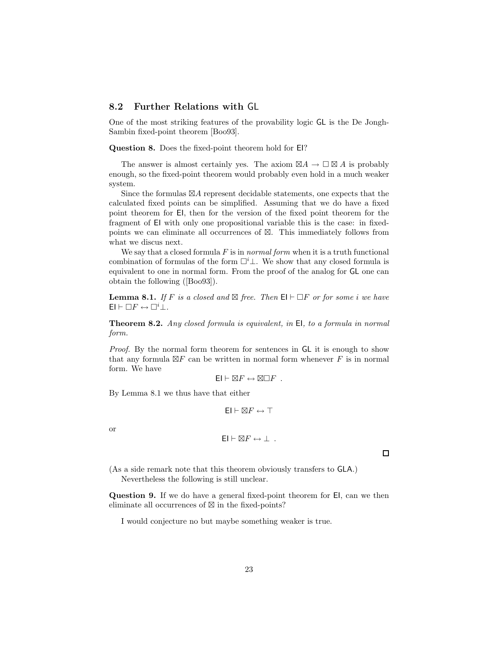### **8.2 Further Relations with** GL

One of the most striking features of the provability logic GL is the De Jongh-Sambin fixed-point theorem [Boo93].

**Question 8.** Does the fixed-point theorem hold for EI?

The answer is almost certainly yes. The axiom  $\boxtimes A \to \square \boxtimes A$  is probably enough, so the fixed-point theorem would probably even hold in a much weaker system.

Since the formulas  $\boxtimes A$  represent decidable statements, one expects that the calculated fixed points can be simplified. Assuming that we do have a fixed point theorem for EI, then for the version of the fixed point theorem for the fragment of EI with only one propositional variable this is the case: in fixedpoints we can eliminate all occurrences of  $\boxtimes$ . This immediately follows from what we discus next.

We say that a closed formula F is in *normal form* when it is a truth functional combination of formulas of the form  $\Box^i \bot$ . We show that any closed formula is equivalent to one in normal form. From the proof of the analog for GL one can obtain the following ([Boo93]).

**Lemma 8.1.** If F is a closed and  $\boxtimes$  free. Then  $\textsf{El} \vdash \Box F$  or for some i we have  $El \vdash \Box F \leftrightarrow \Box^i \bot.$ 

**Theorem 8.2.** *Any closed formula is equivalent, in* EI*, to a formula in normal form.*

*Proof.* By the normal form theorem for sentences in GL it is enough to show that any formula  $\boxtimes F$  can be written in normal form whenever F is in normal form. We have

$$
\mathsf{El} \vdash \boxtimes F \leftrightarrow \boxtimes \Box F \ .
$$

By Lemma 8.1 we thus have that either

$$
\textsf{EI} \vdash \boxtimes F \leftrightarrow \top
$$

or

$$
\mathsf{El} \vdash \boxtimes F \leftrightarrow \bot .
$$

 $\Box$ 

(As a side remark note that this theorem obviously transfers to GLA.) Nevertheless the following is still unclear.

**Question 9.** If we do have a general fixed-point theorem for EI, can we then eliminate all occurrences of  $\boxtimes$  in the fixed-points?

I would conjecture no but maybe something weaker is true.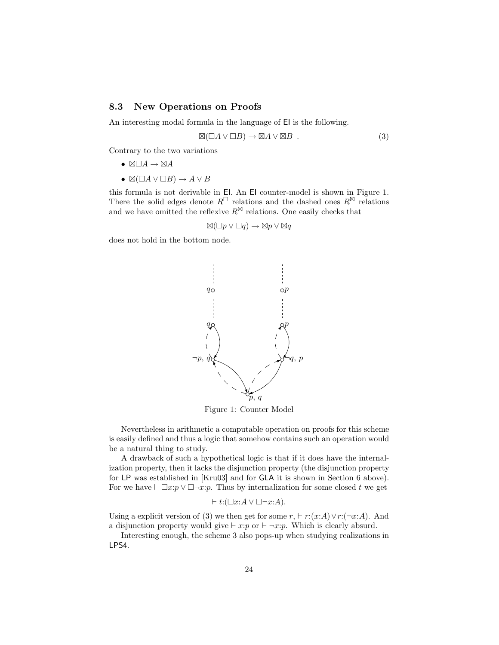### **8.3 New Operations on Proofs**

An interesting modal formula in the language of EI is the following.

$$
\boxtimes (\Box A \vee \Box B) \to \boxtimes A \vee \boxtimes B . \tag{3}
$$

Contrary to the two variations

- $\bullet \quad \boxtimes \Box A \rightarrow \boxtimes A$
- $\bullet\; \boxtimes (\Box A \lor \Box B) \to A \lor B$

this formula is not derivable in EI. An EI counter-model is shown in Figure 1. There the solid edges denote  $R^{\sqcup}$  relations and the dashed ones  $R^{\boxtimes}$  relations and we have omitted the reflexive  $R^{\boxtimes}$  relations. One easily checks that

$$
\boxtimes (\Box p \vee \Box q) \to \boxtimes p \vee \boxtimes q
$$

does not hold in the bottom node.



Figure 1: Counter Model

Nevertheless in arithmetic a computable operation on proofs for this scheme is easily defined and thus a logic that somehow contains such an operation would be a natural thing to study.

A drawback of such a hypothetical logic is that if it does have the internalization property, then it lacks the disjunction property (the disjunction property for LP was established in [Kru03] and for GLA it is shown in Section 6 above). For we have  $\vdash \Box x : p \lor \Box \neg x : p$ . Thus by internalization for some closed t we get

$$
\vdash t{:}(\Box x{:}A \lor \Box \neg x{:}A).
$$

Using a explicit version of (3) we then get for some  $r, \vdash r:(x:A)\vee r:(\neg x:A)$ . And a disjunction property would give  $\vdash x:p$  or  $\vdash \neg x:p$ . Which is clearly absurd.

Interesting enough, the scheme 3 also pops-up when studying realizations in LPS4.